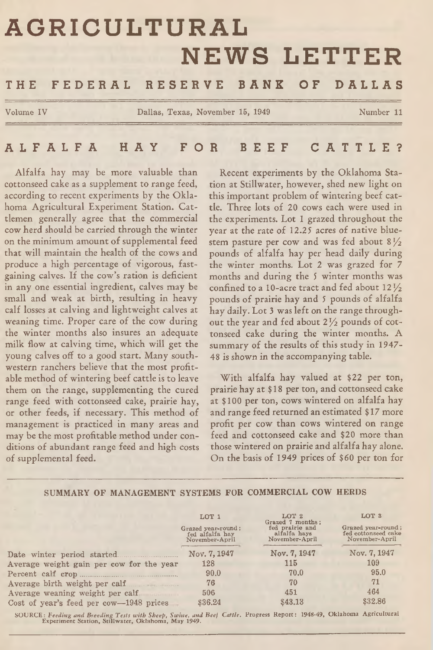# **AGRICULTURAL NEWS LETTER**

# THE FEDERAL RESERVE BANK OF DALLAS

**Volume IV Dallas, Texas, November 15, 1949 Number 11**

# A L F A L F A HAY FOR BEEF C A T T L E ?

Alfalfa hay may be more valuable than cottonseed cake as a supplement to range feed, according to recent experiments by the Oklahoma Agricultural Experiment Station. Cattlemen generally agree that the commercial cow herd should be carried through the winter on the minimum amount of supplemental feed that will maintain the health of the cows and produce a high percentage of vigorous, fastgaining calves. If the cow's ration is deficient in any one essential ingredient, calves may be small and weak at birth, resulting in heavy calf losses at calving and lightweight calves at weaning time. Proper care of the cow during the winter months also insures an adequate milk flow at calving time, which will get the young calves off to a good start. Many southwestern ranchers believe that the most profitable method of wintering beef cattle is to leave them on the range, supplementing the cured range feed with cottonseed cake, prairie hay, or other feeds, if necessary. This method of management is practiced in many areas and may be the most profitable method under conditions of abundant range feed and high costs of supplemental feed.

Recent experiments by the Oklahoma Station at Stillwater, however, shed new light on this important problem of wintering beef cattle. Three lots of 20 cows each were used in the experiments. Lot 1 grazed throughout the year at the rate of 12.25 acres of native bluestem pasture per cow and was fed about 8 *l/z* pounds of alfalfa hay per head daily during the winter months. Lot 2 was grazed for 7 months and during the 5 winter months was confined to a 10-acre tract and fed about  $12\frac{1}{2}$ pounds of prairie hay and 5 pounds of alfalfa hay daily. Lot 3 was left on the range throughout the year and fed about 2 */z* pounds of cottonseed cake during the winter months. A summary of the results of this study in 1947- 48 is shown in the accompanying table.

With alfalfa hay valued at \$22 per ton, prairie hay at \$18 per ton, and cottonseed cake at \$100 per ton, cows wintered on alfalfa hay and range feed returned an estimated \$ 17 more profit per cow than cows wintered on range feed and cottonseed cake and \$20 more than those wintered on prairie and alfalfa hay alone. On the basis of 1949 prices of \$60 per ton for

#### Date winter period started. **Average weight gain per cow for the year Percent calf crop.................................................** Average birth weight per calf **Average weaning weight per calf Cost of year's feed per cow—1948 prices** LOT l Grazed year-round; fed alfalfa hay November-April **Nov. 7,1947 128 90.0 76 506 \$36.24** LOT 2 Grazed 7 months; fed prairie and alfalfa hays November-April **Nov. 7,1947 115 70.0 70 451 \$43.13** LOT 3 Grazed year-round; fed cottonseed cake November-April **Nov. 7,1947 109 95.0 71 464 \$32.86**

#### **SUMMARY OF MANAGEMENT SYSTEMS FOR COMMERCIAL COW HERDS**

SOURCE: *Feeding and Breeding Tests with Sheep, Swine, and Beef Cattle.* Progress Report: 1948-49, Oklahoma Agricultural Experiment Station, Stillwater, Oklahoma, May 1949.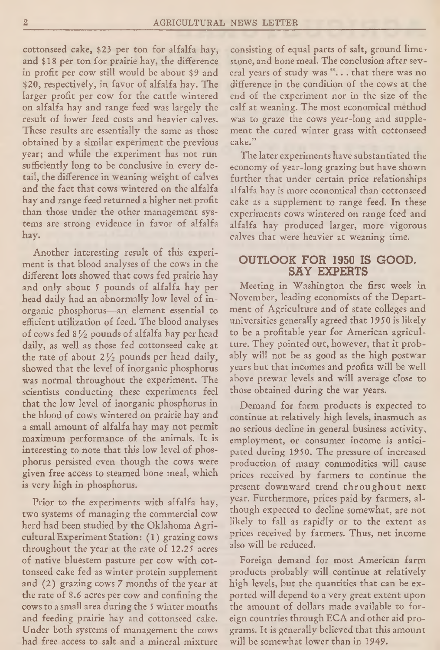cottonseed cake, \$23 per ton for alfalfa hay, and \$18 per ton for prairie hay, the difference in profit per cow still would be about \$9 and \$20, respectively, in favor of alfalfa hay. The larger profit per cow for the cattle wintered on alfalfa hay and range feed was largely the result of lower feed costs and heavier calves. These results are essentially the same as those obtained by a similar experiment the previous year; and while the experiment has not run sufficiently long to be conclusive in every detail, the difference in weaning weight of calves and the fact that cows wintered on the alfalfa hay and range feed returned a higher net profit than those under the other management systems are strong evidence in favor of alfalfa hay.

Another interesting result of this experiment is that blood analyses of the cows in the different lots showed that cows fed prairie hay and only about 5 pounds of alfalfa hay per head daily had an abnormally low level of inorganic phosphorus—an element essential to efficient utilization of feed. The blood analyses of cows fed 8 *l/z* pounds of alfalfa hay per head daily, as well as those fed cottonseed cake at the rate of about  $2\frac{1}{2}$  pounds per head daily, showed that the level of inorganic phosphorus was normal throughout the experiment. The scientists conducting these experiments feel that the low level of inorganic phosphorus in the blood of cows wintered on prairie hay and a small amount of alfalfa hay may not permit maximum performance of the animals. It is interesting to note that this low level of phosphorus persisted even though the cows were given free access to steamed bone meal, which is very high in phosphorus.

Prior to the experiments with alfalfa hay, two systems of managing the commercial cow herd had been studied by the Oklahoma Agricultural Experiment Station: (1) grazing cows throughout the year at the rate of 12.25 acres of native bluestem pasture per cow with cottonseed cake fed as winter protein supplement and (2) grazing cows 7 months of the year at the rate of 8.6 acres per cow and confining the cows to a small area during the 5 winter months and feeding prairie hay and cottonseed cake. Under both systems of management the cows had free access to salt and a mineral mixture

consisting of equal parts of salt, ground limestone, and bone meal. The conclusion after several years of study was . . that there was no difference in the condition of the cows at the end of the experiment nor in the size of the calf at weaning. The most economical method was to graze the cows year-long and supplement the cured winter grass with cottonseed cake."

The later experiments have substantiated the economy of year-long grazing but have shown further that under certain price relationships alfalfa hay is more economical than cottonseed cake as a supplement to range feed. In these experiments cows wintered on range feed and alfalfa hay produced larger, more vigorous calves that were heavier at weaning time.

# OUTLOOK FOR 1950 IS GOOD, SAY EXPERTS

Meeting in Washington the first week in November, leading economists of the Department of Agriculture and of state colleges and universities generally agreed that 1950 is likely to be a profitable year for American agriculture. They pointed out, however, that it probably will not be as good as the high postwar years but that incomes and profits will be well above prewar levels and will average close to those obtained during the war years.

Demand for farm products is expected to continue at relatively high levels, inasmuch as no serious decline in general business activity, employment, or consumer income is anticipated during 1950. The pressure of increased production of many commodities will cause prices received by farmers to continue the present downward trend throughout next year. Furthermore, prices paid by farmers, although expected to decline somewhat, are not likely to fall as rapidly or to the extent as prices received by farmers. Thus, net income also will be reduced.

Foreign demand for most American farm products probably will continue at relatively high levels, but the quantities that can be exported will depend to a very great extent upon the amount of dollars made available to foreign countries through EGA and other aid programs. It is generally believed that this amount will be somewhat lower than in 1949.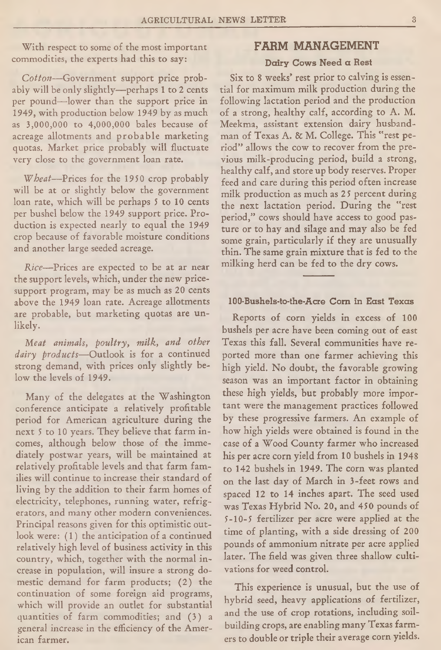With respect to some of the most important commodities, the experts had this to say:

*Cotton*—Government support price probably will be only slightly— perhaps 1 to 2 cents per pound—lower than the support price in 1949, with production below 1949 by as much as 3,000,000 to 4,000,000 bales because of acreage allotments and probable marketing quotas. Market price probably will fluctuate very close to the government loan rate.

*Wheat*—Prices for the 1950 crop probably will be at or slightly below the government loan rate, which will be perhaps 5 to 10 cents per bushel below the 1949 support price. Production is expected nearly to equal the 1949 crop because of favorable moisture conditions and another large seeded acreage.

*Rice*—Prices are expected to be at ar near the support levels, which, under the new pricesupport program, may be as much as 20 cents above the 1949 loan rate. Acreage allotments are probable, but marketing quotas are unlikely.

*Meat animals, poultry, milk, and other dairy products*— Outlook is for a continued strong demand, with prices only slightly below the levels of 1949.

Many of the delegates at the Washington conference anticipate a relatively profitable period for American agriculture during the next 5 to 10 years. They believe that farm incomes, although below those of the immediately postwar years, will be maintained at relatively profitable levels and that farm families will continue to increase their standard of living by the addition to their farm homes of electricity, telephones, running water, refrigerators, and many other modern conveniences. Principal reasons given for this optimistic outlook were: (1) the anticipation of a continued relatively high level of business activity in this country, which, together with the normal increase in population, will insure a strong domestic demand for farm products; (2) the continuation of some foreign aid programs, which will provide an outlet for substantial quantities of farm commodities; and (3) a general increase in the efficiency of the American farmer.

## FARM MANAGEMENT

### Dairy Cows Need a Rest

Six to 8 weeks' rest prior to calving is essential for maximum milk production during the following lactation period and the production of a strong, healthy calf, according to A. M. Meekma, assistant extension dairy husbandman of Texas A. & M. College. This "rest period" allows the cow to recover from the previous milk-producing period, build a strong, healthy calf, and store up body reserves. Proper feed and care during this period often increase milk production as much as 25 percent during the next lactation period. During the "rest period," cows should have access to good pasture or to hay and silage and may also be fed some grain, particularly if they are unusually thin. The same grain mixture that is fed to the milking herd can be fed to the dry cows.

#### 100-Bushels-to-the-Acre Com in East Texas

Reports of corn yields in excess of 100 bushels per acre have been coming out of east Texas this fall. Several communities have reported more than one farmer achieving this high yield. No doubt, the favorable growing season was an important factor in obtaining these high yields, but probably more important were the management practices followed by these progressive farmers. An example of how high yields were obtained is found in the case of a Wood County farmer who increased his per acre corn yield from 10 bushels in 1948 to 142 bushels in 1949. The corn was planted on the last day of March in 3-feet rows and spaced 12 to 14 inches apart. The seed used was Texas Hybrid No. 20, and 450 pounds of 5-10-5 fertilizer per acre were applied at the time of planting, with a side dressing of 200 pounds of ammonium nitrate per acre applied later. The field was given three shallow cultivations for weed control.

This experience is unusual, but the use of hybrid seed, heavy applications of fertilizer, and the use of crop rotations, including soilbuilding crops, are enabling many Texas farmers to double or triple their average corn yields.